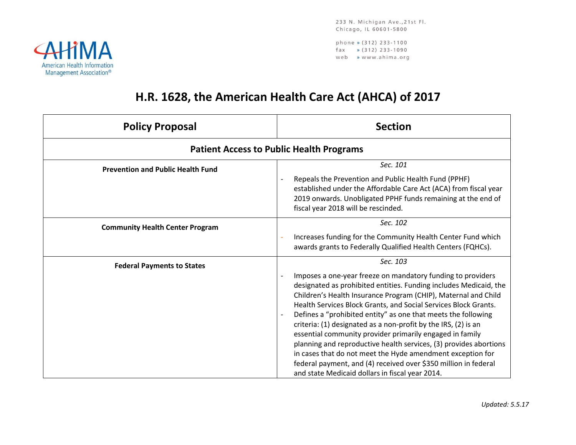233 N. Michigan Ave., 21st Fl. Chicago, IL 60601-5800

phone » (312) 233-1100  $\frac{1}{2}$  (312) 233-1090 web » www.ahima.org



## **H.R. 1628, the American Health Care Act (AHCA) of 2017**

| <b>Policy Proposal</b>                   | <b>Section</b>                                                                                                                                                                                                                                                                                                                                                                                                                                                                                                                                                                                                                                                                                                                            |
|------------------------------------------|-------------------------------------------------------------------------------------------------------------------------------------------------------------------------------------------------------------------------------------------------------------------------------------------------------------------------------------------------------------------------------------------------------------------------------------------------------------------------------------------------------------------------------------------------------------------------------------------------------------------------------------------------------------------------------------------------------------------------------------------|
|                                          | <b>Patient Access to Public Health Programs</b>                                                                                                                                                                                                                                                                                                                                                                                                                                                                                                                                                                                                                                                                                           |
| <b>Prevention and Public Health Fund</b> | Sec. 101<br>Repeals the Prevention and Public Health Fund (PPHF)<br>established under the Affordable Care Act (ACA) from fiscal year<br>2019 onwards. Unobligated PPHF funds remaining at the end of<br>fiscal year 2018 will be rescinded.                                                                                                                                                                                                                                                                                                                                                                                                                                                                                               |
| <b>Community Health Center Program</b>   | Sec. 102<br>Increases funding for the Community Health Center Fund which<br>awards grants to Federally Qualified Health Centers (FQHCs).                                                                                                                                                                                                                                                                                                                                                                                                                                                                                                                                                                                                  |
| <b>Federal Payments to States</b>        | Sec. 103<br>Imposes a one-year freeze on mandatory funding to providers<br>designated as prohibited entities. Funding includes Medicaid, the<br>Children's Health Insurance Program (CHIP), Maternal and Child<br>Health Services Block Grants, and Social Services Block Grants.<br>Defines a "prohibited entity" as one that meets the following<br>criteria: (1) designated as a non-profit by the IRS, (2) is an<br>essential community provider primarily engaged in family<br>planning and reproductive health services, (3) provides abortions<br>in cases that do not meet the Hyde amendment exception for<br>federal payment, and (4) received over \$350 million in federal<br>and state Medicaid dollars in fiscal year 2014. |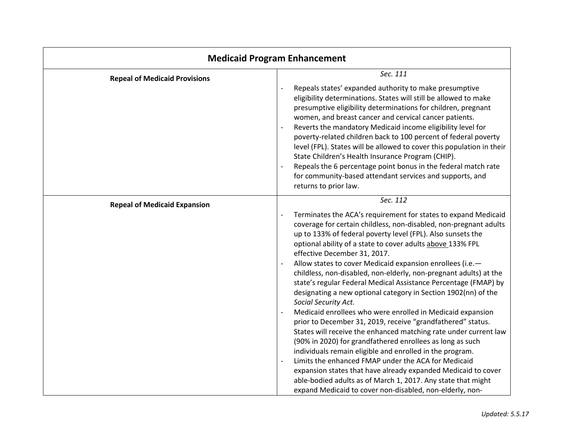| <b>Medicaid Program Enhancement</b>  |                                                                                                                                                                                                                                                                                                                                                                                                                                                                                                                                                                                                                                                                                                                                                                                                                                                                                                                                                                                                                                                                                                                                                                                                                       |
|--------------------------------------|-----------------------------------------------------------------------------------------------------------------------------------------------------------------------------------------------------------------------------------------------------------------------------------------------------------------------------------------------------------------------------------------------------------------------------------------------------------------------------------------------------------------------------------------------------------------------------------------------------------------------------------------------------------------------------------------------------------------------------------------------------------------------------------------------------------------------------------------------------------------------------------------------------------------------------------------------------------------------------------------------------------------------------------------------------------------------------------------------------------------------------------------------------------------------------------------------------------------------|
| <b>Repeal of Medicaid Provisions</b> | Sec. 111<br>Repeals states' expanded authority to make presumptive<br>eligibility determinations. States will still be allowed to make<br>presumptive eligibility determinations for children, pregnant<br>women, and breast cancer and cervical cancer patients.<br>Reverts the mandatory Medicaid income eligibility level for<br>$\overline{\phantom{a}}$<br>poverty-related children back to 100 percent of federal poverty<br>level (FPL). States will be allowed to cover this population in their<br>State Children's Health Insurance Program (CHIP).<br>Repeals the 6 percentage point bonus in the federal match rate<br>for community-based attendant services and supports, and<br>returns to prior law.                                                                                                                                                                                                                                                                                                                                                                                                                                                                                                  |
| <b>Repeal of Medicaid Expansion</b>  | Sec. 112<br>Terminates the ACA's requirement for states to expand Medicaid<br>coverage for certain childless, non-disabled, non-pregnant adults<br>up to 133% of federal poverty level (FPL). Also sunsets the<br>optional ability of a state to cover adults above 133% FPL<br>effective December 31, 2017.<br>Allow states to cover Medicaid expansion enrollees (i.e.-<br>childless, non-disabled, non-elderly, non-pregnant adults) at the<br>state's regular Federal Medical Assistance Percentage (FMAP) by<br>designating a new optional category in Section 1902(nn) of the<br>Social Security Act.<br>Medicaid enrollees who were enrolled in Medicaid expansion<br>$\overline{\phantom{a}}$<br>prior to December 31, 2019, receive "grandfathered" status.<br>States will receive the enhanced matching rate under current law<br>(90% in 2020) for grandfathered enrollees as long as such<br>individuals remain eligible and enrolled in the program.<br>Limits the enhanced FMAP under the ACA for Medicaid<br>expansion states that have already expanded Medicaid to cover<br>able-bodied adults as of March 1, 2017. Any state that might<br>expand Medicaid to cover non-disabled, non-elderly, non- |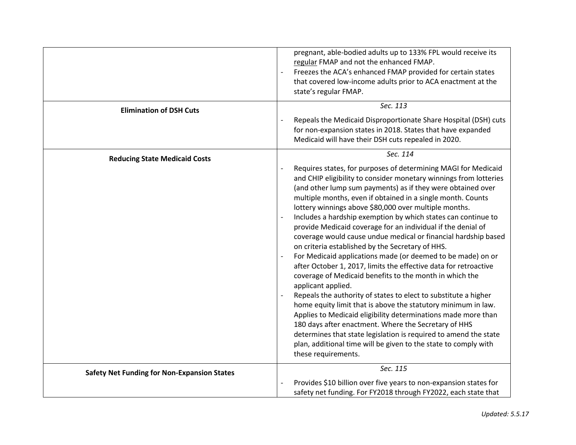|                                                    | pregnant, able-bodied adults up to 133% FPL would receive its<br>regular FMAP and not the enhanced FMAP.<br>Freezes the ACA's enhanced FMAP provided for certain states<br>that covered low-income adults prior to ACA enactment at the<br>state's regular FMAP.                                                                                                                                                                                                                                                                                                                                                                                                                                                                                                                                                                                                                                                                                                                                                                                                                                                                                                                                                                                                                  |
|----------------------------------------------------|-----------------------------------------------------------------------------------------------------------------------------------------------------------------------------------------------------------------------------------------------------------------------------------------------------------------------------------------------------------------------------------------------------------------------------------------------------------------------------------------------------------------------------------------------------------------------------------------------------------------------------------------------------------------------------------------------------------------------------------------------------------------------------------------------------------------------------------------------------------------------------------------------------------------------------------------------------------------------------------------------------------------------------------------------------------------------------------------------------------------------------------------------------------------------------------------------------------------------------------------------------------------------------------|
| <b>Elimination of DSH Cuts</b>                     | Sec. 113                                                                                                                                                                                                                                                                                                                                                                                                                                                                                                                                                                                                                                                                                                                                                                                                                                                                                                                                                                                                                                                                                                                                                                                                                                                                          |
|                                                    | Repeals the Medicaid Disproportionate Share Hospital (DSH) cuts<br>for non-expansion states in 2018. States that have expanded<br>Medicaid will have their DSH cuts repealed in 2020.                                                                                                                                                                                                                                                                                                                                                                                                                                                                                                                                                                                                                                                                                                                                                                                                                                                                                                                                                                                                                                                                                             |
| <b>Reducing State Medicaid Costs</b>               | Sec. 114                                                                                                                                                                                                                                                                                                                                                                                                                                                                                                                                                                                                                                                                                                                                                                                                                                                                                                                                                                                                                                                                                                                                                                                                                                                                          |
|                                                    | Requires states, for purposes of determining MAGI for Medicaid<br>$\qquad \qquad -$<br>and CHIP eligibility to consider monetary winnings from lotteries<br>(and other lump sum payments) as if they were obtained over<br>multiple months, even if obtained in a single month. Counts<br>lottery winnings above \$80,000 over multiple months.<br>Includes a hardship exemption by which states can continue to<br>provide Medicaid coverage for an individual if the denial of<br>coverage would cause undue medical or financial hardship based<br>on criteria established by the Secretary of HHS.<br>For Medicaid applications made (or deemed to be made) on or<br>after October 1, 2017, limits the effective data for retroactive<br>coverage of Medicaid benefits to the month in which the<br>applicant applied.<br>Repeals the authority of states to elect to substitute a higher<br>$\overline{\phantom{a}}$<br>home equity limit that is above the statutory minimum in law.<br>Applies to Medicaid eligibility determinations made more than<br>180 days after enactment. Where the Secretary of HHS<br>determines that state legislation is required to amend the state<br>plan, additional time will be given to the state to comply with<br>these requirements. |
| <b>Safety Net Funding for Non-Expansion States</b> | Sec. 115                                                                                                                                                                                                                                                                                                                                                                                                                                                                                                                                                                                                                                                                                                                                                                                                                                                                                                                                                                                                                                                                                                                                                                                                                                                                          |
|                                                    | Provides \$10 billion over five years to non-expansion states for<br>safety net funding. For FY2018 through FY2022, each state that                                                                                                                                                                                                                                                                                                                                                                                                                                                                                                                                                                                                                                                                                                                                                                                                                                                                                                                                                                                                                                                                                                                                               |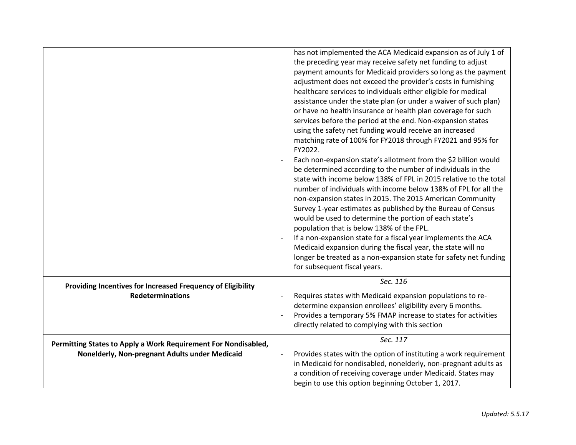|                                                                | has not implemented the ACA Medicaid expansion as of July 1 of<br>the preceding year may receive safety net funding to adjust<br>payment amounts for Medicaid providers so long as the payment<br>adjustment does not exceed the provider's costs in furnishing<br>healthcare services to individuals either eligible for medical<br>assistance under the state plan (or under a waiver of such plan)<br>or have no health insurance or health plan coverage for such<br>services before the period at the end. Non-expansion states<br>using the safety net funding would receive an increased<br>matching rate of 100% for FY2018 through FY2021 and 95% for<br>FY2022.<br>Each non-expansion state's allotment from the \$2 billion would<br>be determined according to the number of individuals in the<br>state with income below 138% of FPL in 2015 relative to the total<br>number of individuals with income below 138% of FPL for all the<br>non-expansion states in 2015. The 2015 American Community<br>Survey 1-year estimates as published by the Bureau of Census<br>would be used to determine the portion of each state's<br>population that is below 138% of the FPL.<br>If a non-expansion state for a fiscal year implements the ACA<br>Medicaid expansion during the fiscal year, the state will no<br>longer be treated as a non-expansion state for safety net funding |
|----------------------------------------------------------------|-----------------------------------------------------------------------------------------------------------------------------------------------------------------------------------------------------------------------------------------------------------------------------------------------------------------------------------------------------------------------------------------------------------------------------------------------------------------------------------------------------------------------------------------------------------------------------------------------------------------------------------------------------------------------------------------------------------------------------------------------------------------------------------------------------------------------------------------------------------------------------------------------------------------------------------------------------------------------------------------------------------------------------------------------------------------------------------------------------------------------------------------------------------------------------------------------------------------------------------------------------------------------------------------------------------------------------------------------------------------------------------------------|
|                                                                | for subsequent fiscal years.                                                                                                                                                                                                                                                                                                                                                                                                                                                                                                                                                                                                                                                                                                                                                                                                                                                                                                                                                                                                                                                                                                                                                                                                                                                                                                                                                                  |
| Providing Incentives for Increased Frequency of Eligibility    | Sec. 116                                                                                                                                                                                                                                                                                                                                                                                                                                                                                                                                                                                                                                                                                                                                                                                                                                                                                                                                                                                                                                                                                                                                                                                                                                                                                                                                                                                      |
| <b>Redeterminations</b>                                        | Requires states with Medicaid expansion populations to re-<br>determine expansion enrollees' eligibility every 6 months.<br>Provides a temporary 5% FMAP increase to states for activities<br>directly related to complying with this section                                                                                                                                                                                                                                                                                                                                                                                                                                                                                                                                                                                                                                                                                                                                                                                                                                                                                                                                                                                                                                                                                                                                                 |
| Permitting States to Apply a Work Requirement For Nondisabled, | Sec. 117                                                                                                                                                                                                                                                                                                                                                                                                                                                                                                                                                                                                                                                                                                                                                                                                                                                                                                                                                                                                                                                                                                                                                                                                                                                                                                                                                                                      |
| Nonelderly, Non-pregnant Adults under Medicaid                 | Provides states with the option of instituting a work requirement<br>$\overline{\phantom{a}}$<br>in Medicaid for nondisabled, nonelderly, non-pregnant adults as<br>a condition of receiving coverage under Medicaid. States may<br>begin to use this option beginning October 1, 2017.                                                                                                                                                                                                                                                                                                                                                                                                                                                                                                                                                                                                                                                                                                                                                                                                                                                                                                                                                                                                                                                                                                       |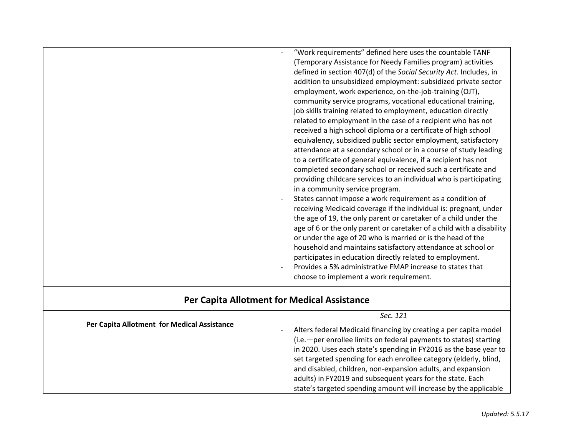|                          | "Work requirements" defined here uses the countable TANF<br>(Temporary Assistance for Needy Families program) activities<br>defined in section 407(d) of the Social Security Act. Includes, in<br>addition to unsubsidized employment: subsidized private sector<br>employment, work experience, on-the-job-training (OJT),<br>community service programs, vocational educational training,                                                                               |
|--------------------------|---------------------------------------------------------------------------------------------------------------------------------------------------------------------------------------------------------------------------------------------------------------------------------------------------------------------------------------------------------------------------------------------------------------------------------------------------------------------------|
|                          | job skills training related to employment, education directly<br>related to employment in the case of a recipient who has not<br>received a high school diploma or a certificate of high school<br>equivalency, subsidized public sector employment, satisfactory<br>attendance at a secondary school or in a course of study leading<br>to a certificate of general equivalence, if a recipient has not<br>completed secondary school or received such a certificate and |
|                          | providing childcare services to an individual who is participating<br>in a community service program.<br>States cannot impose a work requirement as a condition of<br>receiving Medicaid coverage if the individual is: pregnant, under<br>the age of 19, the only parent or caretaker of a child under the<br>age of 6 or the only parent or caretaker of a child with a disability                                                                                      |
| $\overline{\phantom{a}}$ | or under the age of 20 who is married or is the head of the<br>household and maintains satisfactory attendance at school or<br>participates in education directly related to employment.<br>Provides a 5% administrative FMAP increase to states that<br>choose to implement a work requirement.                                                                                                                                                                          |

## **Per Capita Allotment for Medical Assistance**

|                                             | Sec. 121                                                                                                                                                                                                                                                                                                                                                                                                                                                                           |
|---------------------------------------------|------------------------------------------------------------------------------------------------------------------------------------------------------------------------------------------------------------------------------------------------------------------------------------------------------------------------------------------------------------------------------------------------------------------------------------------------------------------------------------|
| Per Capita Allotment for Medical Assistance | Alters federal Medicaid financing by creating a per capita model<br>(i.e. - per enrollee limits on federal payments to states) starting<br>in 2020. Uses each state's spending in FY2016 as the base year to<br>set targeted spending for each enrollee category (elderly, blind,<br>and disabled, children, non-expansion adults, and expansion<br>adults) in FY2019 and subsequent years for the state. Each<br>state's targeted spending amount will increase by the applicable |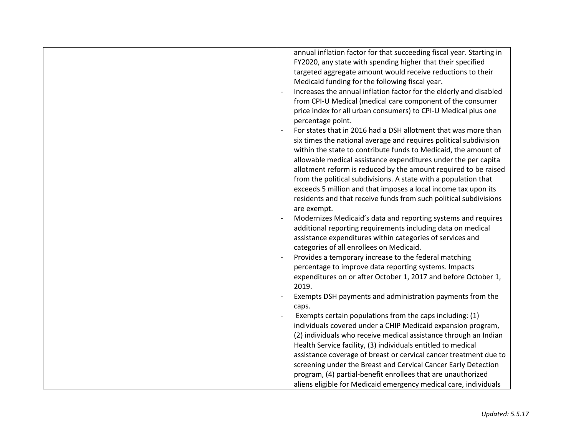| annual inflation factor for that succeeding fiscal year. Starting in |
|----------------------------------------------------------------------|
| FY2020, any state with spending higher that their specified          |
| targeted aggregate amount would receive reductions to their          |
|                                                                      |
| Increases the annual inflation factor for the elderly and disabled   |
| from CPI-U Medical (medical care component of the consumer           |
| price index for all urban consumers) to CPI-U Medical plus one       |
|                                                                      |
| For states that in 2016 had a DSH allotment that was more than       |
| six times the national average and requires political subdivision    |
| within the state to contribute funds to Medicaid, the amount of      |
| allowable medical assistance expenditures under the per capita       |
| allotment reform is reduced by the amount required to be raised      |
| from the political subdivisions. A state with a population that      |
| exceeds 5 million and that imposes a local income tax upon its       |
| residents and that receive funds from such political subdivisions    |
|                                                                      |
| Modernizes Medicaid's data and reporting systems and requires        |
| additional reporting requirements including data on medical          |
| assistance expenditures within categories of services and            |
|                                                                      |
| Provides a temporary increase to the federal matching                |
| percentage to improve data reporting systems. Impacts                |
| expenditures on or after October 1, 2017 and before October 1,       |
|                                                                      |
| Exempts DSH payments and administration payments from the            |
|                                                                      |
| Exempts certain populations from the caps including: (1)             |
| individuals covered under a CHIP Medicaid expansion program,         |
| (2) individuals who receive medical assistance through an Indian     |
| Health Service facility, (3) individuals entitled to medical         |
| assistance coverage of breast or cervical cancer treatment due to    |
| screening under the Breast and Cervical Cancer Early Detection       |
| program, (4) partial-benefit enrollees that are unauthorized         |
| aliens eligible for Medicaid emergency medical care, individuals     |
|                                                                      |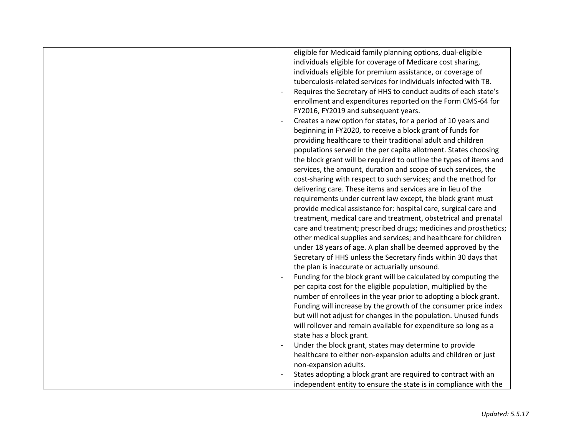| eligible for Medicaid family planning options, dual-eligible       |
|--------------------------------------------------------------------|
| individuals eligible for coverage of Medicare cost sharing,        |
| individuals eligible for premium assistance, or coverage of        |
| tuberculosis-related services for individuals infected with TB.    |
| Requires the Secretary of HHS to conduct audits of each state's    |
| enrollment and expenditures reported on the Form CMS-64 for        |
| FY2016, FY2019 and subsequent years.                               |
| Creates a new option for states, for a period of 10 years and      |
| beginning in FY2020, to receive a block grant of funds for         |
| providing healthcare to their traditional adult and children       |
| populations served in the per capita allotment. States choosing    |
| the block grant will be required to outline the types of items and |
| services, the amount, duration and scope of such services, the     |
| cost-sharing with respect to such services; and the method for     |
| delivering care. These items and services are in lieu of the       |
| requirements under current law except, the block grant must        |
| provide medical assistance for: hospital care, surgical care and   |
| treatment, medical care and treatment, obstetrical and prenatal    |
| care and treatment; prescribed drugs; medicines and prosthetics;   |
| other medical supplies and services; and healthcare for children   |
| under 18 years of age. A plan shall be deemed approved by the      |
| Secretary of HHS unless the Secretary finds within 30 days that    |
| the plan is inaccurate or actuarially unsound.                     |
| Funding for the block grant will be calculated by computing the    |
| per capita cost for the eligible population, multiplied by the     |
| number of enrollees in the year prior to adopting a block grant.   |
| Funding will increase by the growth of the consumer price index    |
| but will not adjust for changes in the population. Unused funds    |
| will rollover and remain available for expenditure so long as a    |
| state has a block grant.                                           |
| Under the block grant, states may determine to provide             |
| healthcare to either non-expansion adults and children or just     |
| non-expansion adults.                                              |
| States adopting a block grant are required to contract with an     |
| independent entity to ensure the state is in compliance with the   |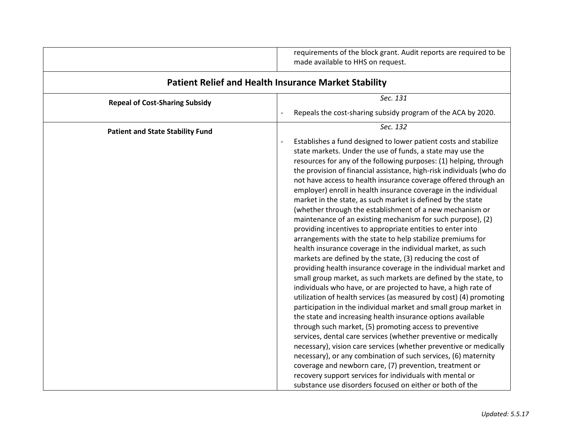|                                         | requirements of the block grant. Audit reports are required to be<br>made available to HHS on request.                                                                                                                                                                                                                                                                                                                                                                                                                                                                                                                                                                                                                                                                                                                                                                                                                                                                                                                                                                                                                                                                                                                                                                                                                                                                                                                                                                                                                                                                                                                                                                                          |
|-----------------------------------------|-------------------------------------------------------------------------------------------------------------------------------------------------------------------------------------------------------------------------------------------------------------------------------------------------------------------------------------------------------------------------------------------------------------------------------------------------------------------------------------------------------------------------------------------------------------------------------------------------------------------------------------------------------------------------------------------------------------------------------------------------------------------------------------------------------------------------------------------------------------------------------------------------------------------------------------------------------------------------------------------------------------------------------------------------------------------------------------------------------------------------------------------------------------------------------------------------------------------------------------------------------------------------------------------------------------------------------------------------------------------------------------------------------------------------------------------------------------------------------------------------------------------------------------------------------------------------------------------------------------------------------------------------------------------------------------------------|
|                                         | <b>Patient Relief and Health Insurance Market Stability</b>                                                                                                                                                                                                                                                                                                                                                                                                                                                                                                                                                                                                                                                                                                                                                                                                                                                                                                                                                                                                                                                                                                                                                                                                                                                                                                                                                                                                                                                                                                                                                                                                                                     |
| <b>Repeal of Cost-Sharing Subsidy</b>   | Sec. 131                                                                                                                                                                                                                                                                                                                                                                                                                                                                                                                                                                                                                                                                                                                                                                                                                                                                                                                                                                                                                                                                                                                                                                                                                                                                                                                                                                                                                                                                                                                                                                                                                                                                                        |
|                                         | Repeals the cost-sharing subsidy program of the ACA by 2020.                                                                                                                                                                                                                                                                                                                                                                                                                                                                                                                                                                                                                                                                                                                                                                                                                                                                                                                                                                                                                                                                                                                                                                                                                                                                                                                                                                                                                                                                                                                                                                                                                                    |
| <b>Patient and State Stability Fund</b> | Sec. 132<br>Establishes a fund designed to lower patient costs and stabilize<br>state markets. Under the use of funds, a state may use the<br>resources for any of the following purposes: (1) helping, through<br>the provision of financial assistance, high-risk individuals (who do<br>not have access to health insurance coverage offered through an<br>employer) enroll in health insurance coverage in the individual<br>market in the state, as such market is defined by the state<br>(whether through the establishment of a new mechanism or<br>maintenance of an existing mechanism for such purpose), (2)<br>providing incentives to appropriate entities to enter into<br>arrangements with the state to help stabilize premiums for<br>health insurance coverage in the individual market, as such<br>markets are defined by the state, (3) reducing the cost of<br>providing health insurance coverage in the individual market and<br>small group market, as such markets are defined by the state, to<br>individuals who have, or are projected to have, a high rate of<br>utilization of health services (as measured by cost) (4) promoting<br>participation in the individual market and small group market in<br>the state and increasing health insurance options available<br>through such market, (5) promoting access to preventive<br>services, dental care services (whether preventive or medically<br>necessary), vision care services (whether preventive or medically<br>necessary), or any combination of such services, (6) maternity<br>coverage and newborn care, (7) prevention, treatment or<br>recovery support services for individuals with mental or |
|                                         | substance use disorders focused on either or both of the                                                                                                                                                                                                                                                                                                                                                                                                                                                                                                                                                                                                                                                                                                                                                                                                                                                                                                                                                                                                                                                                                                                                                                                                                                                                                                                                                                                                                                                                                                                                                                                                                                        |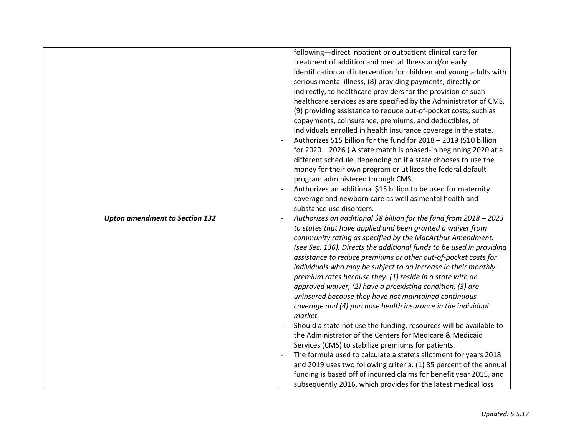| <b>Upton amendment to Section 132</b> | following-direct inpatient or outpatient clinical care for<br>treatment of addition and mental illness and/or early<br>identification and intervention for children and young adults with<br>serious mental illness, (8) providing payments, directly or<br>indirectly, to healthcare providers for the provision of such<br>healthcare services as are specified by the Administrator of CMS,<br>(9) providing assistance to reduce out-of-pocket costs, such as<br>copayments, coinsurance, premiums, and deductibles, of<br>individuals enrolled in health insurance coverage in the state.<br>Authorizes \$15 billion for the fund for 2018 - 2019 (\$10 billion<br>for 2020 - 2026.) A state match is phased-in beginning 2020 at a<br>different schedule, depending on if a state chooses to use the<br>money for their own program or utilizes the federal default<br>program administered through CMS.<br>Authorizes an additional \$15 billion to be used for maternity<br>coverage and newborn care as well as mental health and<br>substance use disorders.<br>Authorizes an additional \$8 billion for the fund from 2018 - 2023<br>to states that have applied and been granted a waiver from<br>community rating as specified by the MacArthur Amendment.<br>(see Sec. 136). Directs the additional funds to be used in providing<br>assistance to reduce premiums or other out-of-pocket costs for<br>individuals who may be subject to an increase in their monthly<br>premium rates because they: (1) reside in a state with an<br>approved waiver, (2) have a preexisting condition, (3) are<br>uninsured because they have not maintained continuous<br>coverage and (4) purchase health insurance in the individual |
|---------------------------------------|-----------------------------------------------------------------------------------------------------------------------------------------------------------------------------------------------------------------------------------------------------------------------------------------------------------------------------------------------------------------------------------------------------------------------------------------------------------------------------------------------------------------------------------------------------------------------------------------------------------------------------------------------------------------------------------------------------------------------------------------------------------------------------------------------------------------------------------------------------------------------------------------------------------------------------------------------------------------------------------------------------------------------------------------------------------------------------------------------------------------------------------------------------------------------------------------------------------------------------------------------------------------------------------------------------------------------------------------------------------------------------------------------------------------------------------------------------------------------------------------------------------------------------------------------------------------------------------------------------------------------------------------------------------------------------------------------------------------------------------------|
|                                       | market.<br>Should a state not use the funding, resources will be available to<br>the Administrator of the Centers for Medicare & Medicaid                                                                                                                                                                                                                                                                                                                                                                                                                                                                                                                                                                                                                                                                                                                                                                                                                                                                                                                                                                                                                                                                                                                                                                                                                                                                                                                                                                                                                                                                                                                                                                                               |
|                                       | Services (CMS) to stabilize premiums for patients.<br>The formula used to calculate a state's allotment for years 2018<br>and 2019 uses two following criteria: (1) 85 percent of the annual<br>funding is based off of incurred claims for benefit year 2015, and<br>subsequently 2016, which provides for the latest medical loss                                                                                                                                                                                                                                                                                                                                                                                                                                                                                                                                                                                                                                                                                                                                                                                                                                                                                                                                                                                                                                                                                                                                                                                                                                                                                                                                                                                                     |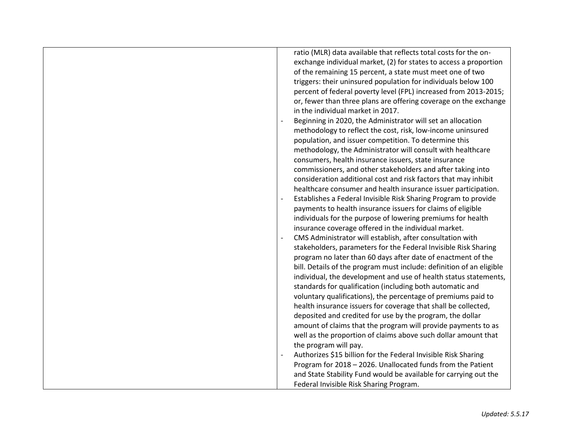| ratio (MLR) data available that reflects total costs for the on-<br>exchange individual market, (2) for states to access a proportion<br>of the remaining 15 percent, a state must meet one of two<br>triggers: their uninsured population for individuals below 100<br>percent of federal poverty level (FPL) increased from 2013-2015;<br>or, fewer than three plans are offering coverage on the exchange<br>in the individual market in 2017.<br>Beginning in 2020, the Administrator will set an allocation<br>methodology to reflect the cost, risk, low-income uninsured<br>population, and issuer competition. To determine this<br>methodology, the Administrator will consult with healthcare<br>consumers, health insurance issuers, state insurance<br>commissioners, and other stakeholders and after taking into<br>consideration additional cost and risk factors that may inhibit<br>healthcare consumer and health insurance issuer participation.<br>Establishes a Federal Invisible Risk Sharing Program to provide<br>payments to health insurance issuers for claims of eligible<br>individuals for the purpose of lowering premiums for health<br>insurance coverage offered in the individual market.<br>CMS Administrator will establish, after consultation with<br>stakeholders, parameters for the Federal Invisible Risk Sharing<br>program no later than 60 days after date of enactment of the<br>bill. Details of the program must include: definition of an eligible<br>individual, the development and use of health status statements,<br>standards for qualification (including both automatic and<br>voluntary qualifications), the percentage of premiums paid to<br>health insurance issuers for coverage that shall be collected,<br>deposited and credited for use by the program, the dollar<br>amount of claims that the program will provide payments to as<br>well as the proportion of claims above such dollar amount that |
|--------------------------------------------------------------------------------------------------------------------------------------------------------------------------------------------------------------------------------------------------------------------------------------------------------------------------------------------------------------------------------------------------------------------------------------------------------------------------------------------------------------------------------------------------------------------------------------------------------------------------------------------------------------------------------------------------------------------------------------------------------------------------------------------------------------------------------------------------------------------------------------------------------------------------------------------------------------------------------------------------------------------------------------------------------------------------------------------------------------------------------------------------------------------------------------------------------------------------------------------------------------------------------------------------------------------------------------------------------------------------------------------------------------------------------------------------------------------------------------------------------------------------------------------------------------------------------------------------------------------------------------------------------------------------------------------------------------------------------------------------------------------------------------------------------------------------------------------------------------------------------------------------------------------------------------------------------------------------|
|                                                                                                                                                                                                                                                                                                                                                                                                                                                                                                                                                                                                                                                                                                                                                                                                                                                                                                                                                                                                                                                                                                                                                                                                                                                                                                                                                                                                                                                                                                                                                                                                                                                                                                                                                                                                                                                                                                                                                                          |
| the program will pay.                                                                                                                                                                                                                                                                                                                                                                                                                                                                                                                                                                                                                                                                                                                                                                                                                                                                                                                                                                                                                                                                                                                                                                                                                                                                                                                                                                                                                                                                                                                                                                                                                                                                                                                                                                                                                                                                                                                                                    |
| Authorizes \$15 billion for the Federal Invisible Risk Sharing                                                                                                                                                                                                                                                                                                                                                                                                                                                                                                                                                                                                                                                                                                                                                                                                                                                                                                                                                                                                                                                                                                                                                                                                                                                                                                                                                                                                                                                                                                                                                                                                                                                                                                                                                                                                                                                                                                           |
|                                                                                                                                                                                                                                                                                                                                                                                                                                                                                                                                                                                                                                                                                                                                                                                                                                                                                                                                                                                                                                                                                                                                                                                                                                                                                                                                                                                                                                                                                                                                                                                                                                                                                                                                                                                                                                                                                                                                                                          |
| Program for 2018 - 2026. Unallocated funds from the Patient                                                                                                                                                                                                                                                                                                                                                                                                                                                                                                                                                                                                                                                                                                                                                                                                                                                                                                                                                                                                                                                                                                                                                                                                                                                                                                                                                                                                                                                                                                                                                                                                                                                                                                                                                                                                                                                                                                              |
| and State Stability Fund would be available for carrying out the                                                                                                                                                                                                                                                                                                                                                                                                                                                                                                                                                                                                                                                                                                                                                                                                                                                                                                                                                                                                                                                                                                                                                                                                                                                                                                                                                                                                                                                                                                                                                                                                                                                                                                                                                                                                                                                                                                         |
| Federal Invisible Risk Sharing Program.                                                                                                                                                                                                                                                                                                                                                                                                                                                                                                                                                                                                                                                                                                                                                                                                                                                                                                                                                                                                                                                                                                                                                                                                                                                                                                                                                                                                                                                                                                                                                                                                                                                                                                                                                                                                                                                                                                                                  |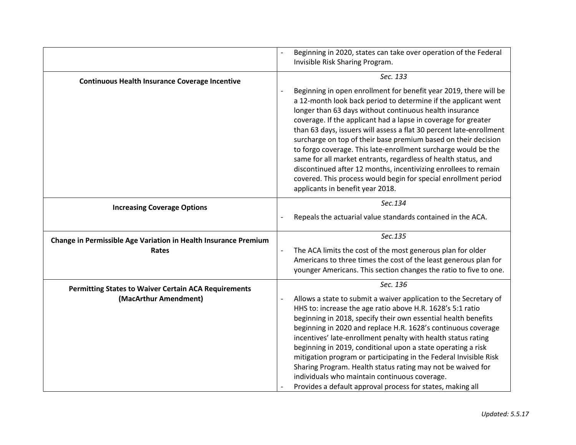|                                                                                      | Beginning in 2020, states can take over operation of the Federal<br>Invisible Risk Sharing Program.                                                                                                                                                                                                                                                                                                                                                                                                                                                                                                                                                                                                                                 |
|--------------------------------------------------------------------------------------|-------------------------------------------------------------------------------------------------------------------------------------------------------------------------------------------------------------------------------------------------------------------------------------------------------------------------------------------------------------------------------------------------------------------------------------------------------------------------------------------------------------------------------------------------------------------------------------------------------------------------------------------------------------------------------------------------------------------------------------|
| <b>Continuous Health Insurance Coverage Incentive</b>                                | Sec. 133<br>Beginning in open enrollment for benefit year 2019, there will be<br>a 12-month look back period to determine if the applicant went<br>longer than 63 days without continuous health insurance<br>coverage. If the applicant had a lapse in coverage for greater<br>than 63 days, issuers will assess a flat 30 percent late-enrollment<br>surcharge on top of their base premium based on their decision<br>to forgo coverage. This late-enrollment surcharge would be the<br>same for all market entrants, regardless of health status, and<br>discontinued after 12 months, incentivizing enrollees to remain<br>covered. This process would begin for special enrollment period<br>applicants in benefit year 2018. |
| <b>Increasing Coverage Options</b>                                                   | Sec.134<br>Repeals the actuarial value standards contained in the ACA.                                                                                                                                                                                                                                                                                                                                                                                                                                                                                                                                                                                                                                                              |
| Change in Permissible Age Variation in Health Insurance Premium<br>Rates             | Sec.135<br>The ACA limits the cost of the most generous plan for older<br>$\overline{a}$<br>Americans to three times the cost of the least generous plan for<br>younger Americans. This section changes the ratio to five to one.                                                                                                                                                                                                                                                                                                                                                                                                                                                                                                   |
| <b>Permitting States to Waiver Certain ACA Requirements</b><br>(MacArthur Amendment) | Sec. 136<br>Allows a state to submit a waiver application to the Secretary of<br>HHS to: increase the age ratio above H.R. 1628's 5:1 ratio<br>beginning in 2018, specify their own essential health benefits<br>beginning in 2020 and replace H.R. 1628's continuous coverage<br>incentives' late-enrollment penalty with health status rating<br>beginning in 2019, conditional upon a state operating a risk<br>mitigation program or participating in the Federal Invisible Risk<br>Sharing Program. Health status rating may not be waived for<br>individuals who maintain continuous coverage.<br>Provides a default approval process for states, making all                                                                  |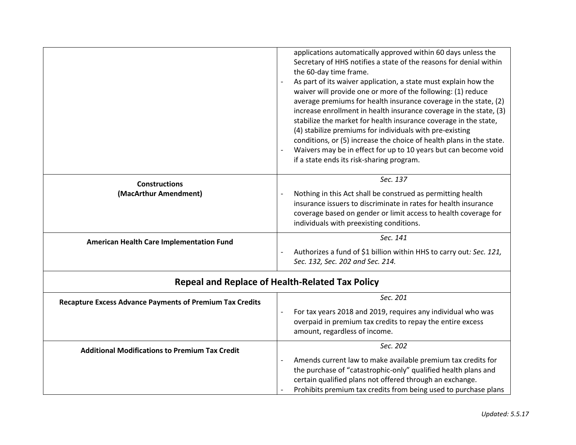|                                                 | applications automatically approved within 60 days unless the<br>Secretary of HHS notifies a state of the reasons for denial within<br>the 60-day time frame.<br>As part of its waiver application, a state must explain how the<br>waiver will provide one or more of the following: (1) reduce<br>average premiums for health insurance coverage in the state, (2)<br>increase enrollment in health insurance coverage in the state, (3)<br>stabilize the market for health insurance coverage in the state,<br>(4) stabilize premiums for individuals with pre-existing<br>conditions, or (5) increase the choice of health plans in the state.<br>Waivers may be in effect for up to 10 years but can become void<br>if a state ends its risk-sharing program. |
|-------------------------------------------------|--------------------------------------------------------------------------------------------------------------------------------------------------------------------------------------------------------------------------------------------------------------------------------------------------------------------------------------------------------------------------------------------------------------------------------------------------------------------------------------------------------------------------------------------------------------------------------------------------------------------------------------------------------------------------------------------------------------------------------------------------------------------|
| <b>Constructions</b><br>(MacArthur Amendment)   | Sec. 137<br>Nothing in this Act shall be construed as permitting health<br>insurance issuers to discriminate in rates for health insurance<br>coverage based on gender or limit access to health coverage for<br>individuals with preexisting conditions.                                                                                                                                                                                                                                                                                                                                                                                                                                                                                                          |
| <b>American Health Care Implementation Fund</b> | Sec. 141<br>Authorizes a fund of \$1 billion within HHS to carry out: Sec. 121,<br>$\overline{\phantom{a}}$<br>Sec. 132, Sec. 202 and Sec. 214.                                                                                                                                                                                                                                                                                                                                                                                                                                                                                                                                                                                                                    |

| <b>Repeal and Replace of Health-Related Tax Policy</b>          |                                                                                                                                                                                                                                                                                           |
|-----------------------------------------------------------------|-------------------------------------------------------------------------------------------------------------------------------------------------------------------------------------------------------------------------------------------------------------------------------------------|
| <b>Recapture Excess Advance Payments of Premium Tax Credits</b> | Sec. 201<br>For tax years 2018 and 2019, requires any individual who was                                                                                                                                                                                                                  |
|                                                                 | overpaid in premium tax credits to repay the entire excess<br>amount, regardless of income.                                                                                                                                                                                               |
| <b>Additional Modifications to Premium Tax Credit</b>           | Sec. 202                                                                                                                                                                                                                                                                                  |
|                                                                 | Amends current law to make available premium tax credits for<br>$\overline{\phantom{a}}$<br>the purchase of "catastrophic-only" qualified health plans and<br>certain qualified plans not offered through an exchange.<br>Prohibits premium tax credits from being used to purchase plans |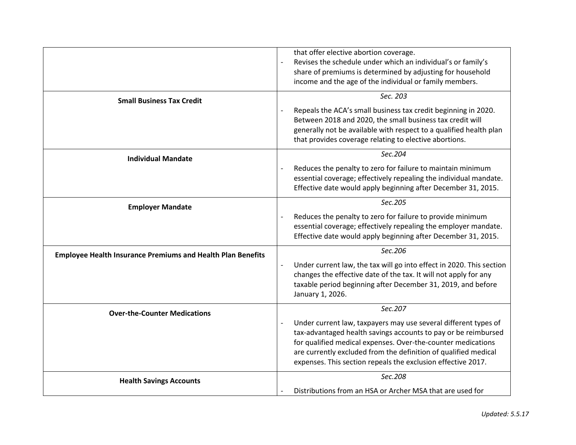|                                                                    | that offer elective abortion coverage.<br>Revises the schedule under which an individual's or family's<br>$\overline{\phantom{a}}$<br>share of premiums is determined by adjusting for household<br>income and the age of the individual or family members.                                                                                                      |
|--------------------------------------------------------------------|------------------------------------------------------------------------------------------------------------------------------------------------------------------------------------------------------------------------------------------------------------------------------------------------------------------------------------------------------------------|
| <b>Small Business Tax Credit</b>                                   | Sec. 203                                                                                                                                                                                                                                                                                                                                                         |
|                                                                    | Repeals the ACA's small business tax credit beginning in 2020.<br>Between 2018 and 2020, the small business tax credit will<br>generally not be available with respect to a qualified health plan<br>that provides coverage relating to elective abortions.                                                                                                      |
| <b>Individual Mandate</b>                                          | Sec.204                                                                                                                                                                                                                                                                                                                                                          |
|                                                                    | Reduces the penalty to zero for failure to maintain minimum<br>$\overline{\phantom{a}}$<br>essential coverage; effectively repealing the individual mandate.<br>Effective date would apply beginning after December 31, 2015.                                                                                                                                    |
| <b>Employer Mandate</b>                                            | Sec.205                                                                                                                                                                                                                                                                                                                                                          |
|                                                                    | Reduces the penalty to zero for failure to provide minimum<br>essential coverage; effectively repealing the employer mandate.<br>Effective date would apply beginning after December 31, 2015.                                                                                                                                                                   |
| <b>Employee Health Insurance Premiums and Health Plan Benefits</b> | Sec.206                                                                                                                                                                                                                                                                                                                                                          |
|                                                                    | Under current law, the tax will go into effect in 2020. This section<br>$\overline{\phantom{a}}$<br>changes the effective date of the tax. It will not apply for any<br>taxable period beginning after December 31, 2019, and before<br>January 1, 2026.                                                                                                         |
| <b>Over-the-Counter Medications</b>                                | Sec.207                                                                                                                                                                                                                                                                                                                                                          |
|                                                                    | Under current law, taxpayers may use several different types of<br>$\overline{\phantom{a}}$<br>tax-advantaged health savings accounts to pay or be reimbursed<br>for qualified medical expenses. Over-the-counter medications<br>are currently excluded from the definition of qualified medical<br>expenses. This section repeals the exclusion effective 2017. |
| <b>Health Savings Accounts</b>                                     | Sec.208                                                                                                                                                                                                                                                                                                                                                          |
|                                                                    | Distributions from an HSA or Archer MSA that are used for                                                                                                                                                                                                                                                                                                        |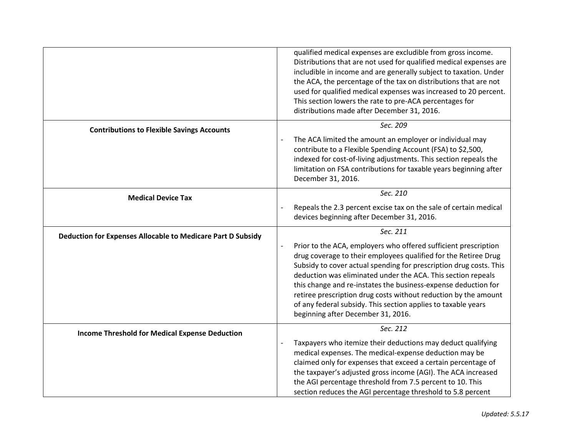|                                                             | qualified medical expenses are excludible from gross income.<br>Distributions that are not used for qualified medical expenses are<br>includible in income and are generally subject to taxation. Under<br>the ACA, the percentage of the tax on distributions that are not<br>used for qualified medical expenses was increased to 20 percent.<br>This section lowers the rate to pre-ACA percentages for<br>distributions made after December 31, 2016.                                                            |
|-------------------------------------------------------------|----------------------------------------------------------------------------------------------------------------------------------------------------------------------------------------------------------------------------------------------------------------------------------------------------------------------------------------------------------------------------------------------------------------------------------------------------------------------------------------------------------------------|
| <b>Contributions to Flexible Savings Accounts</b>           | Sec. 209                                                                                                                                                                                                                                                                                                                                                                                                                                                                                                             |
|                                                             | The ACA limited the amount an employer or individual may<br>contribute to a Flexible Spending Account (FSA) to \$2,500,<br>indexed for cost-of-living adjustments. This section repeals the<br>limitation on FSA contributions for taxable years beginning after<br>December 31, 2016.                                                                                                                                                                                                                               |
| <b>Medical Device Tax</b>                                   | Sec. 210                                                                                                                                                                                                                                                                                                                                                                                                                                                                                                             |
|                                                             | Repeals the 2.3 percent excise tax on the sale of certain medical<br>devices beginning after December 31, 2016.                                                                                                                                                                                                                                                                                                                                                                                                      |
| Deduction for Expenses Allocable to Medicare Part D Subsidy | Sec. 211                                                                                                                                                                                                                                                                                                                                                                                                                                                                                                             |
|                                                             | Prior to the ACA, employers who offered sufficient prescription<br>drug coverage to their employees qualified for the Retiree Drug<br>Subsidy to cover actual spending for prescription drug costs. This<br>deduction was eliminated under the ACA. This section repeals<br>this change and re-instates the business-expense deduction for<br>retiree prescription drug costs without reduction by the amount<br>of any federal subsidy. This section applies to taxable years<br>beginning after December 31, 2016. |
| <b>Income Threshold for Medical Expense Deduction</b>       | Sec. 212                                                                                                                                                                                                                                                                                                                                                                                                                                                                                                             |
|                                                             | Taxpayers who itemize their deductions may deduct qualifying<br>medical expenses. The medical-expense deduction may be<br>claimed only for expenses that exceed a certain percentage of<br>the taxpayer's adjusted gross income (AGI). The ACA increased<br>the AGI percentage threshold from 7.5 percent to 10. This<br>section reduces the AGI percentage threshold to 5.8 percent                                                                                                                                 |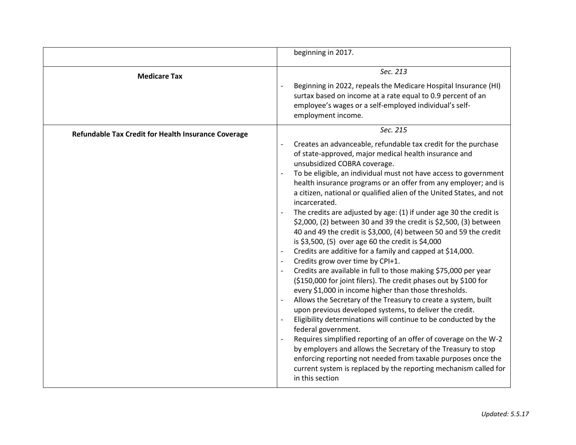|                                                     | beginning in 2017.                                                                                                                                                                                                                                                                                                                                                                                                                                                                                                                                                                                                                                                                                                                                                                                                                                                                                                                                                                                                                                                                                                                                                                                                                                                                                                                                                                                                                                                                                              |
|-----------------------------------------------------|-----------------------------------------------------------------------------------------------------------------------------------------------------------------------------------------------------------------------------------------------------------------------------------------------------------------------------------------------------------------------------------------------------------------------------------------------------------------------------------------------------------------------------------------------------------------------------------------------------------------------------------------------------------------------------------------------------------------------------------------------------------------------------------------------------------------------------------------------------------------------------------------------------------------------------------------------------------------------------------------------------------------------------------------------------------------------------------------------------------------------------------------------------------------------------------------------------------------------------------------------------------------------------------------------------------------------------------------------------------------------------------------------------------------------------------------------------------------------------------------------------------------|
| <b>Medicare Tax</b>                                 | Sec. 213<br>Beginning in 2022, repeals the Medicare Hospital Insurance (HI)<br>surtax based on income at a rate equal to 0.9 percent of an<br>employee's wages or a self-employed individual's self-<br>employment income.                                                                                                                                                                                                                                                                                                                                                                                                                                                                                                                                                                                                                                                                                                                                                                                                                                                                                                                                                                                                                                                                                                                                                                                                                                                                                      |
| Refundable Tax Credit for Health Insurance Coverage | Sec. 215<br>Creates an advanceable, refundable tax credit for the purchase<br>of state-approved, major medical health insurance and<br>unsubsidized COBRA coverage.<br>To be eligible, an individual must not have access to government<br>health insurance programs or an offer from any employer; and is<br>a citizen, national or qualified alien of the United States, and not<br>incarcerated.<br>The credits are adjusted by age: (1) if under age 30 the credit is<br>\$2,000, (2) between 30 and 39 the credit is \$2,500, (3) between<br>40 and 49 the credit is \$3,000, (4) between 50 and 59 the credit<br>is \$3,500, (5) over age 60 the credit is \$4,000<br>Credits are additive for a family and capped at \$14,000.<br>Credits grow over time by CPI+1.<br>Credits are available in full to those making \$75,000 per year<br>(\$150,000 for joint filers). The credit phases out by \$100 for<br>every \$1,000 in income higher than those thresholds.<br>Allows the Secretary of the Treasury to create a system, built<br>$\overline{a}$<br>upon previous developed systems, to deliver the credit.<br>Eligibility determinations will continue to be conducted by the<br>federal government.<br>Requires simplified reporting of an offer of coverage on the W-2<br>by employers and allows the Secretary of the Treasury to stop<br>enforcing reporting not needed from taxable purposes once the<br>current system is replaced by the reporting mechanism called for<br>in this section |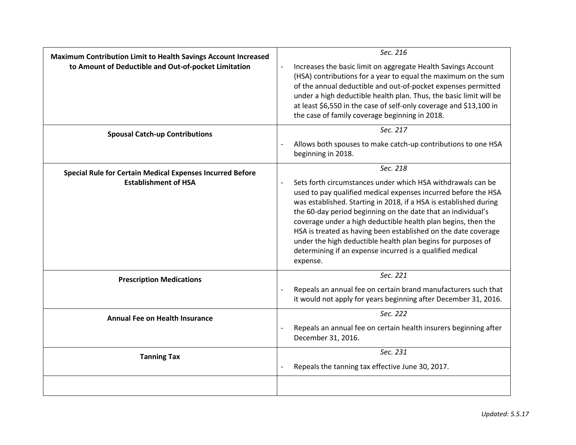| <b>Maximum Contribution Limit to Health Savings Account Increased</b><br>to Amount of Deductible and Out-of-pocket Limitation | Sec. 216<br>Increases the basic limit on aggregate Health Savings Account<br>$\overline{a}$<br>(HSA) contributions for a year to equal the maximum on the sum<br>of the annual deductible and out-of-pocket expenses permitted<br>under a high deductible health plan. Thus, the basic limit will be<br>at least \$6,550 in the case of self-only coverage and \$13,100 in<br>the case of family coverage beginning in 2018.                                                                                                                               |
|-------------------------------------------------------------------------------------------------------------------------------|------------------------------------------------------------------------------------------------------------------------------------------------------------------------------------------------------------------------------------------------------------------------------------------------------------------------------------------------------------------------------------------------------------------------------------------------------------------------------------------------------------------------------------------------------------|
| <b>Spousal Catch-up Contributions</b>                                                                                         | Sec. 217<br>Allows both spouses to make catch-up contributions to one HSA<br>beginning in 2018.                                                                                                                                                                                                                                                                                                                                                                                                                                                            |
| <b>Special Rule for Certain Medical Expenses Incurred Before</b><br><b>Establishment of HSA</b>                               | Sec. 218<br>Sets forth circumstances under which HSA withdrawals can be<br>used to pay qualified medical expenses incurred before the HSA<br>was established. Starting in 2018, if a HSA is established during<br>the 60-day period beginning on the date that an individual's<br>coverage under a high deductible health plan begins, then the<br>HSA is treated as having been established on the date coverage<br>under the high deductible health plan begins for purposes of<br>determining if an expense incurred is a qualified medical<br>expense. |
| <b>Prescription Medications</b>                                                                                               | Sec. 221<br>Repeals an annual fee on certain brand manufacturers such that<br>$\overline{a}$<br>it would not apply for years beginning after December 31, 2016.                                                                                                                                                                                                                                                                                                                                                                                            |
| <b>Annual Fee on Health Insurance</b>                                                                                         | Sec. 222<br>Repeals an annual fee on certain health insurers beginning after<br>December 31, 2016.                                                                                                                                                                                                                                                                                                                                                                                                                                                         |
| <b>Tanning Tax</b>                                                                                                            | Sec. 231<br>Repeals the tanning tax effective June 30, 2017.                                                                                                                                                                                                                                                                                                                                                                                                                                                                                               |
|                                                                                                                               |                                                                                                                                                                                                                                                                                                                                                                                                                                                                                                                                                            |